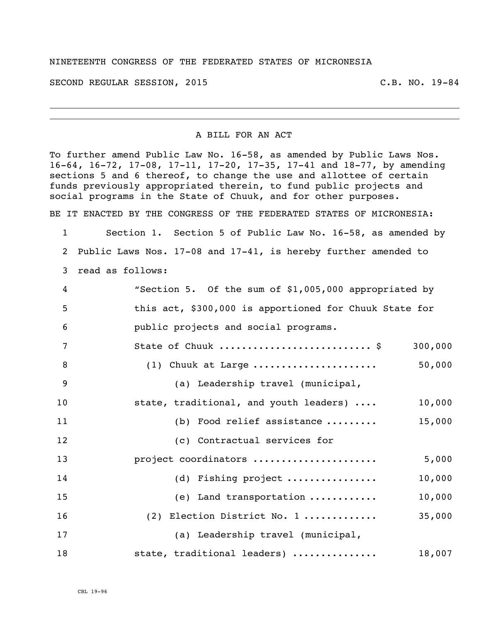## NINETEENTH CONGRESS OF THE FEDERATED STATES OF MICRONESIA

SECOND REGULAR SESSION, 2015 C.B. NO. 19-84

## A BILL FOR AN ACT

To further amend Public Law No. 16-58, as amended by Public Laws Nos. 16-64, 16-72, 17-08, 17-11, 17-20, 17-35, 17-41 and 18-77, by amending sections 5 and 6 thereof, to change the use and allottee of certain funds previously appropriated therein, to fund public projects and social programs in the State of Chuuk, and for other purposes.

BE IT ENACTED BY THE CONGRESS OF THE FEDERATED STATES OF MICRONESIA:

 Section 1. Section 5 of Public Law No. 16-58, as amended by Public Laws Nos. 17-08 and 17-41, is hereby further amended to read as follows:

| 4   | "Section 5. Of the sum of \$1,005,000 appropriated by  |
|-----|--------------------------------------------------------|
| - 5 | this act, \$300,000 is apportioned for Chuuk State for |
| - 6 | public projects and social programs.                   |
|     | 300,000                                                |

| - 8 | (1) Chuuk at Large                     | 50,000 |
|-----|----------------------------------------|--------|
| - 9 | (a) Leadership travel (municipal,      |        |
| 10  | state, traditional, and youth leaders) | 10,000 |
| 11  | Food relief assistance<br>(b)          | 15,000 |
| 12  | (c) Contractual services for           |        |
| 13  | project coordinators                   | 5,000  |

| 14 |  | (d) Fishing project | 10,000 |
|----|--|---------------------|--------|
|----|--|---------------------|--------|

 (e) Land transportation ............ 10,000 (2) Election District No. 1 ............. 35,000 (a) Leadership travel (municipal,

| 18 |  | state, traditional leaders) | 18,007 |
|----|--|-----------------------------|--------|
|----|--|-----------------------------|--------|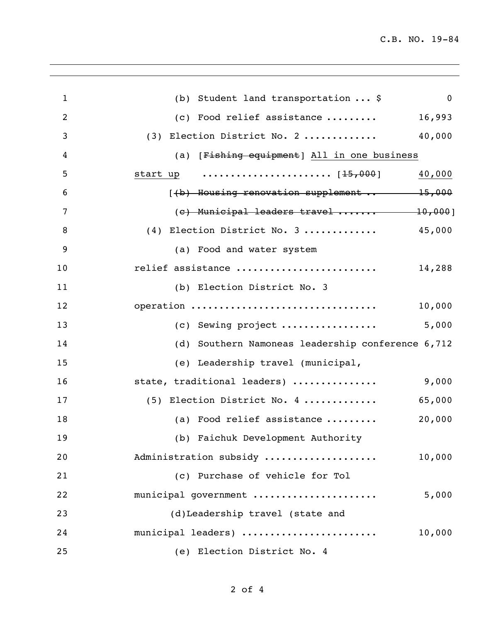| $\mathbf{1}$   | (b) Student land transportation  \$<br>$\mathbf 0$ |
|----------------|----------------------------------------------------|
| $\overline{2}$ | 16,993<br>(c) Food relief assistance               |
| 3              | 40,000<br>(3) Election District No. 2              |
| 4              | (a) [Fishing equipment] All in one business        |
| 5              | 40,000                                             |
| 6              | $(4b)$ Housing renovation supplement $15,000$      |
| 7              | (e) Municipal leaders travel  10,000]              |
| 8              | (4) Election District No. 3  45,000                |
| 9              | (a) Food and water system                          |
| 10             | relief assistance<br>14,288                        |
| 11             | (b) Election District No. 3                        |
| 12             | operation<br>10,000                                |
| 13             | (c) Sewing project<br>5,000                        |
| 14             | (d) Southern Namoneas leadership conference 6,712  |
| 15             | (e) Leadership travel (municipal,                  |
| 16             | 9,000<br>state, traditional leaders)               |
| 17             | (5) Election District No. 4<br>65,000              |
| 18             | (a) Food relief assistance<br>20,000               |
| 19             | (b) Faichuk Development Authority                  |
| 20             | Administration subsidy<br>10,000                   |
| 21             | (c) Purchase of vehicle for Tol                    |
| 22             | municipal government<br>5,000                      |
| 23             | (d)Leadership travel (state and                    |
| 24             | municipal leaders)<br>10,000                       |
| 25             | (e) Election District No. 4                        |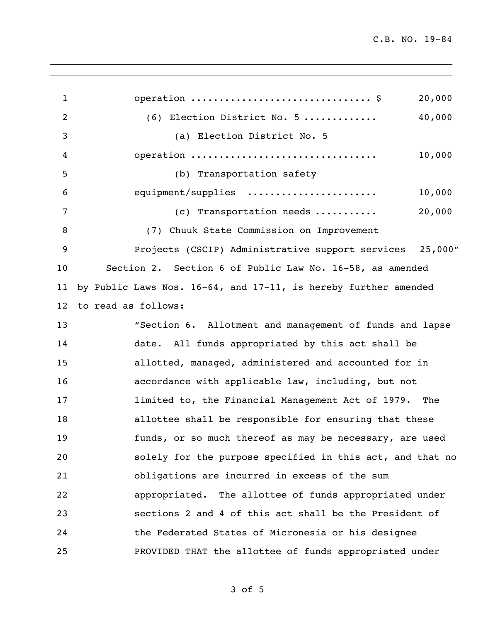C.B. NO. 19-84

1 operation ................................\$ 20,000 (6) Election District No. 5 ............. 40,000 (a) Election District No. 5 operation ................................. 10,000 (b) Transportation safety equipment/supplies ....................... 10,000 7 (c) Transportation needs ........... 20,000 (7) Chuuk State Commission on Improvement Projects (CSCIP) Administrative support services 25,000" Section 2. Section 6 of Public Law No. 16-58, as amended by Public Laws Nos. 16-64, and 17-11, is hereby further amended to read as follows: "Section 6. Allotment and management of funds and lapse date. All funds appropriated by this act shall be allotted, managed, administered and accounted for in accordance with applicable law, including, but not **I** limited to, the Financial Management Act of 1979. The allottee shall be responsible for ensuring that these funds, or so much thereof as may be necessary, are used solely for the purpose specified in this act, and that no obligations are incurred in excess of the sum appropriated. The allottee of funds appropriated under sections 2 and 4 of this act shall be the President of the Federated States of Micronesia or his designee PROVIDED THAT the allottee of funds appropriated under